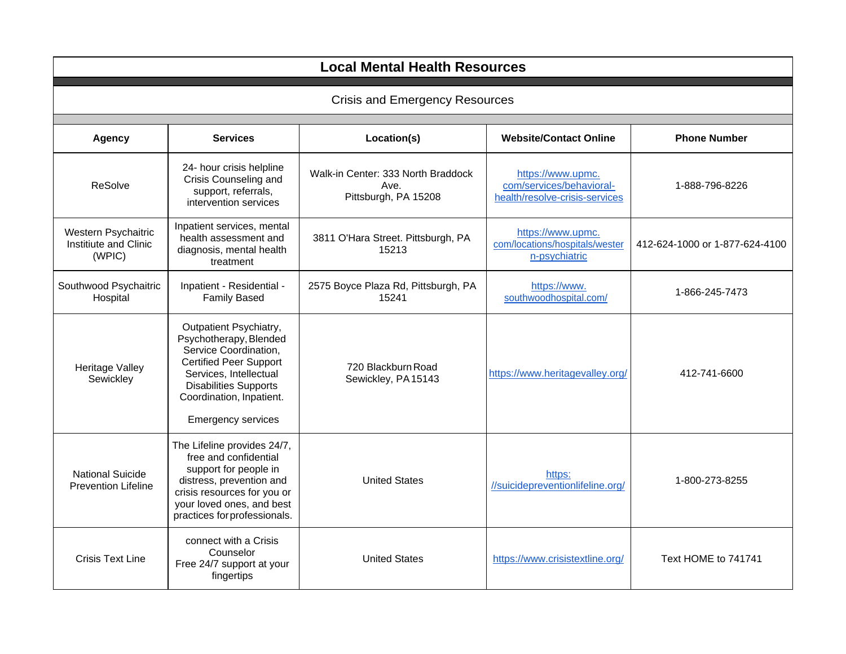| <b>Local Mental Health Resources</b>                   |                                                                                                                                                                                                                               |                                                                    |                                                                                 |                                |
|--------------------------------------------------------|-------------------------------------------------------------------------------------------------------------------------------------------------------------------------------------------------------------------------------|--------------------------------------------------------------------|---------------------------------------------------------------------------------|--------------------------------|
| <b>Crisis and Emergency Resources</b>                  |                                                                                                                                                                                                                               |                                                                    |                                                                                 |                                |
| <b>Agency</b>                                          | <b>Services</b>                                                                                                                                                                                                               | Location(s)                                                        | <b>Website/Contact Online</b>                                                   | <b>Phone Number</b>            |
| <b>ReSolve</b>                                         | 24- hour crisis helpline<br>Crisis Counseling and<br>support, referrals,<br>intervention services                                                                                                                             | Walk-in Center: 333 North Braddock<br>Ave.<br>Pittsburgh, PA 15208 | https://www.upmc.<br>com/services/behavioral-<br>health/resolve-crisis-services | 1-888-796-8226                 |
| Western Psychaitric<br>Institiute and Clinic<br>(WPIC) | Inpatient services, mental<br>health assessment and<br>diagnosis, mental health<br>treatment                                                                                                                                  | 3811 O'Hara Street. Pittsburgh, PA<br>15213                        | https://www.upmc.<br>com/locations/hospitals/wester<br>n-psychiatric            | 412-624-1000 or 1-877-624-4100 |
| Southwood Psychaitric<br>Hospital                      | Inpatient - Residential -<br><b>Family Based</b>                                                                                                                                                                              | 2575 Boyce Plaza Rd, Pittsburgh, PA<br>15241                       | https://www.<br>southwoodhospital.com/                                          | 1-866-245-7473                 |
| Heritage Valley<br>Sewickley                           | Outpatient Psychiatry,<br>Psychotherapy, Blended<br>Service Coordination,<br><b>Certified Peer Support</b><br>Services, Intellectual<br><b>Disabilities Supports</b><br>Coordination, Inpatient.<br><b>Emergency services</b> | 720 Blackburn Road<br>Sewickley, PA 15143                          | https://www.heritagevalley.org/                                                 | 412-741-6600                   |
| <b>National Suicide</b><br><b>Prevention Lifeline</b>  | The Lifeline provides 24/7,<br>free and confidential<br>support for people in<br>distress, prevention and<br>crisis resources for you or<br>your loved ones, and best<br>practices for professionals.                         | <b>United States</b>                                               | https:<br>//suicidepreventionlifeline.org/                                      | 1-800-273-8255                 |
| <b>Crisis Text Line</b>                                | connect with a Crisis<br>Counselor<br>Free 24/7 support at your<br>fingertips                                                                                                                                                 | <b>United States</b>                                               | https://www.crisistextline.org/                                                 | Text HOME to 741741            |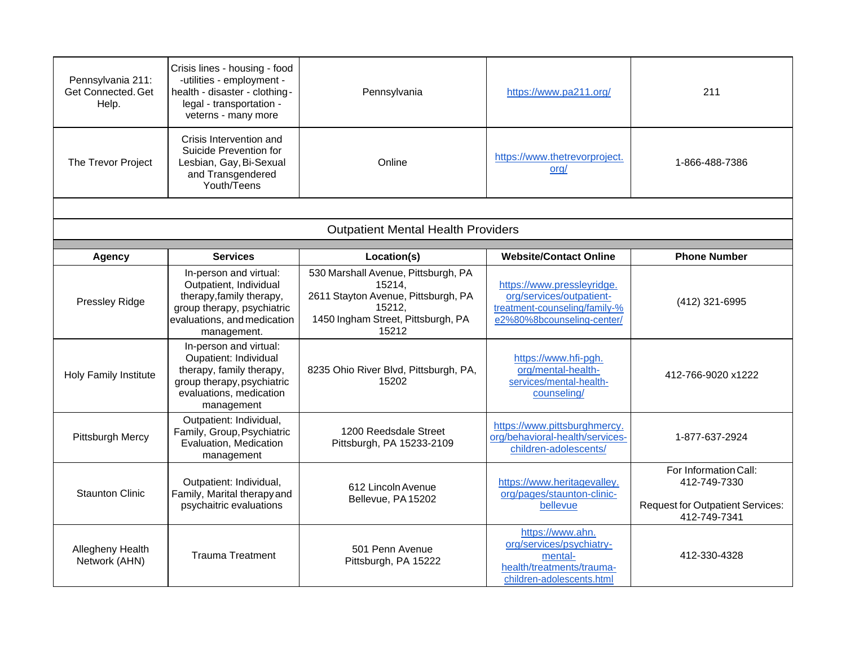| Pennsylvania 211:<br>Get Connected. Get<br>Help. | Crisis lines - housing - food<br>-utilities - employment -<br>health - disaster - clothing-<br>legal - transportation -<br>veterns - many more           | Pennsylvania                                                                                                                                  | https://www.pa211.org/                                                                                                | 211                                                                                              |
|--------------------------------------------------|----------------------------------------------------------------------------------------------------------------------------------------------------------|-----------------------------------------------------------------------------------------------------------------------------------------------|-----------------------------------------------------------------------------------------------------------------------|--------------------------------------------------------------------------------------------------|
| The Trevor Project                               | Crisis Intervention and<br>Suicide Prevention for<br>Lesbian, Gay, Bi-Sexual<br>and Transgendered<br>Youth/Teens                                         | Online                                                                                                                                        | https://www.thetrevorproject.<br>ora/                                                                                 | 1-866-488-7386                                                                                   |
|                                                  |                                                                                                                                                          |                                                                                                                                               |                                                                                                                       |                                                                                                  |
|                                                  |                                                                                                                                                          | <b>Outpatient Mental Health Providers</b>                                                                                                     |                                                                                                                       |                                                                                                  |
| <b>Agency</b>                                    | <b>Services</b>                                                                                                                                          | Location(s)                                                                                                                                   | <b>Website/Contact Online</b>                                                                                         | <b>Phone Number</b>                                                                              |
|                                                  |                                                                                                                                                          |                                                                                                                                               |                                                                                                                       |                                                                                                  |
| Pressley Ridge                                   | In-person and virtual:<br>Outpatient, Individual<br>therapy, family therapy,<br>group therapy, psychiatric<br>evaluations, and medication<br>management. | 530 Marshall Avenue, Pittsburgh, PA<br>15214,<br>2611 Stayton Avenue, Pittsburgh, PA<br>15212,<br>1450 Ingham Street, Pittsburgh, PA<br>15212 | https://www.pressleyridge.<br>org/services/outpatient-<br>treatment-counseling/family-%<br>e2%80%8bcounseling-center/ | (412) 321-6995                                                                                   |
| <b>Holy Family Institute</b>                     | In-person and virtual:<br>Oupatient: Individual<br>therapy, family therapy,<br>group therapy, psychiatric<br>evaluations, medication<br>management       | 8235 Ohio River Blvd, Pittsburgh, PA,<br>15202                                                                                                | https://www.hfi-pgh.<br>org/mental-health-<br>services/mental-health-<br>counseling/                                  | 412-766-9020 x1222                                                                               |
| Pittsburgh Mercy                                 | Outpatient: Individual,<br>Family, Group, Psychiatric<br>Evaluation, Medication<br>management                                                            | 1200 Reedsdale Street<br>Pittsburgh, PA 15233-2109                                                                                            | https://www.pittsburghmercy.<br>org/behavioral-health/services-<br>children-adolescents/                              | 1-877-637-2924                                                                                   |
| <b>Staunton Clinic</b>                           | Outpatient: Individual,<br>Family, Marital therapy and<br>psychaitric evaluations                                                                        | 612 Lincoln Avenue<br>Bellevue, PA 15202                                                                                                      | https://www.heritagevalley.<br>org/pages/staunton-clinic-<br>bellevue                                                 | For Information Call:<br>412-749-7330<br><b>Request for Outpatient Services:</b><br>412-749-7341 |
| Allegheny Health<br>Network (AHN)                | <b>Trauma Treatment</b>                                                                                                                                  | 501 Penn Avenue<br>Pittsburgh, PA 15222                                                                                                       | https://www.ahn.<br>org/services/psychiatry-<br>mental-<br>health/treatments/trauma-<br>children-adolescents.html     | 412-330-4328                                                                                     |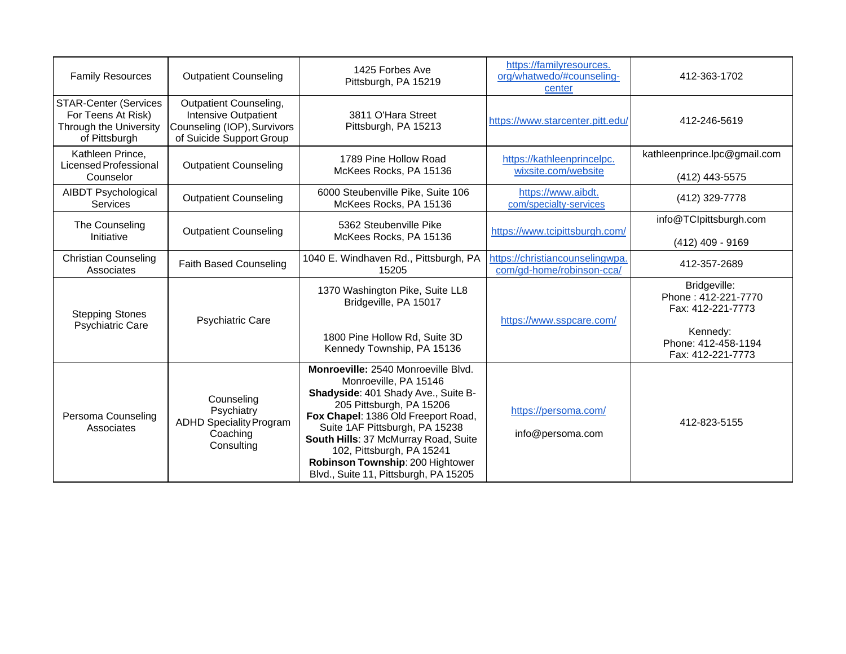| <b>Family Resources</b>                                                                       | <b>Outpatient Counseling</b>                                                                                     | 1425 Forbes Ave<br>Pittsburgh, PA 15219                                                                                                                                                                                                                                                                                                                    | https://familyresources.<br>org/whatwedo/#counseling-<br>center | 412-363-1702                                             |
|-----------------------------------------------------------------------------------------------|------------------------------------------------------------------------------------------------------------------|------------------------------------------------------------------------------------------------------------------------------------------------------------------------------------------------------------------------------------------------------------------------------------------------------------------------------------------------------------|-----------------------------------------------------------------|----------------------------------------------------------|
| <b>STAR-Center (Services</b><br>For Teens At Risk)<br>Through the University<br>of Pittsburgh | Outpatient Counseling,<br><b>Intensive Outpatient</b><br>Counseling (IOP), Survivors<br>of Suicide Support Group | 3811 O'Hara Street<br>Pittsburgh, PA 15213                                                                                                                                                                                                                                                                                                                 | https://www.starcenter.pitt.edu/                                | 412-246-5619                                             |
| Kathleen Prince,<br>Licensed Professional<br>Counselor                                        | <b>Outpatient Counseling</b>                                                                                     | 1789 Pine Hollow Road<br>McKees Rocks, PA 15136                                                                                                                                                                                                                                                                                                            | https://kathleenprincelpc.<br>wixsite.com/website               | kathleenprince.lpc@gmail.com<br>(412) 443-5575           |
| <b>AIBDT Psychological</b><br><b>Services</b>                                                 | <b>Outpatient Counseling</b>                                                                                     | 6000 Steubenville Pike, Suite 106<br>McKees Rocks, PA 15136                                                                                                                                                                                                                                                                                                | https://www.aibdt.<br>com/specialty-services                    | (412) 329-7778                                           |
| The Counseling<br>Initiative                                                                  | <b>Outpatient Counseling</b>                                                                                     | 5362 Steubenville Pike<br>McKees Rocks, PA 15136                                                                                                                                                                                                                                                                                                           | https://www.tcipittsburgh.com/                                  | info@TClpittsburgh.com<br>(412) 409 - 9169               |
| <b>Christian Counseling</b><br>Associates                                                     | <b>Faith Based Counseling</b>                                                                                    | 1040 E. Windhaven Rd., Pittsburgh, PA<br>15205                                                                                                                                                                                                                                                                                                             | https://christiancounselingwpa.<br>com/gd-home/robinson-cca/    | 412-357-2689                                             |
| <b>Stepping Stones</b><br><b>Psychiatric Care</b>                                             | <b>Psychiatric Care</b>                                                                                          | 1370 Washington Pike, Suite LL8<br>Bridgeville, PA 15017                                                                                                                                                                                                                                                                                                   | https://www.sspcare.com/                                        | Bridgeville:<br>Phone: 412-221-7770<br>Fax: 412-221-7773 |
|                                                                                               |                                                                                                                  | 1800 Pine Hollow Rd, Suite 3D<br>Kennedy Township, PA 15136                                                                                                                                                                                                                                                                                                |                                                                 | Kennedy:<br>Phone: 412-458-1194<br>Fax: 412-221-7773     |
| Persoma Counseling<br>Associates                                                              | Counseling<br>Psychiatry<br><b>ADHD Speciality Program</b><br>Coaching<br>Consulting                             | Monroeville: 2540 Monroeville Blvd.<br>Monroeville, PA 15146<br>Shadyside: 401 Shady Ave., Suite B-<br>205 Pittsburgh, PA 15206<br>Fox Chapel: 1386 Old Freeport Road,<br>Suite 1AF Pittsburgh, PA 15238<br>South Hills: 37 McMurray Road, Suite<br>102, Pittsburgh, PA 15241<br>Robinson Township: 200 Hightower<br>Blvd., Suite 11, Pittsburgh, PA 15205 | https://persoma.com/<br>info@persoma.com                        | 412-823-5155                                             |